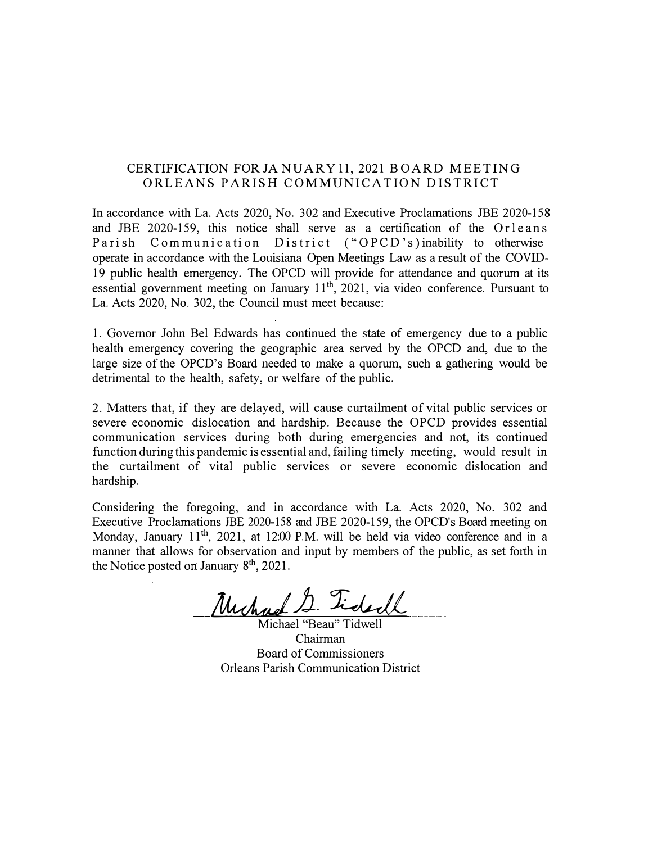#### CERTIFICATION FOR JA NUARY 11, 2021 BOARD MEETING ORLEANS PARISH COMMUNICATION DISTRICT

In accordance with La. Acts 2020, No. 302 and Executive Proclamations JBE 2020-158 and JBE 2020-159, this notice shall serve as a certification of the Orleans Parish Communication District ("OPCD's) inability to otherwise operate in accordance with the Louisiana Open Meetings Law as a result of the COVID-19 public health emergency. The OPCD will provide for attendance and quorum at its essential government meeting on January  $11<sup>th</sup>$ , 2021, via video conference. Pursuant to La. Acts 2020, No. 302, the Council must meet because:

1. Governor John Bel Edwards has continued the state of emergency due to a public health emergency covering the geographic area served by the OPCD and, due to the large size of the OPCD's Board needed to make a quorum, such a gathering would be detrimental to the health, safety, or welfare of the public.

2. Matters that, if they are delayed, will cause curtailment of vital public services or severe economic dislocation and hardship. Because the OPCD provides essential communication services during both during emergencies and not, its continued function during this pandemic is essential and, failing timely meeting, would result in the curtailment of vital public services or severe economic dislocation and hardship.

Considering the foregoing, and in accordance with La. Acts 2020, No. 302 and Executive Proclamations JBE 2020-158 and JBE 2020-159, the OPCD's Board meeting on Monday, January 11<sup>th</sup>, 2021, at 12:00 P.M. will be held via video conference and in a manner that allows for observation and input by members of the public, as set forth in the Notice posted on January 8<sup>th</sup>, 2021.

Michael S. Tiderll

Michael "Beau" Tidwell Chairman Board of Commissioners Orleans Parish Communication District